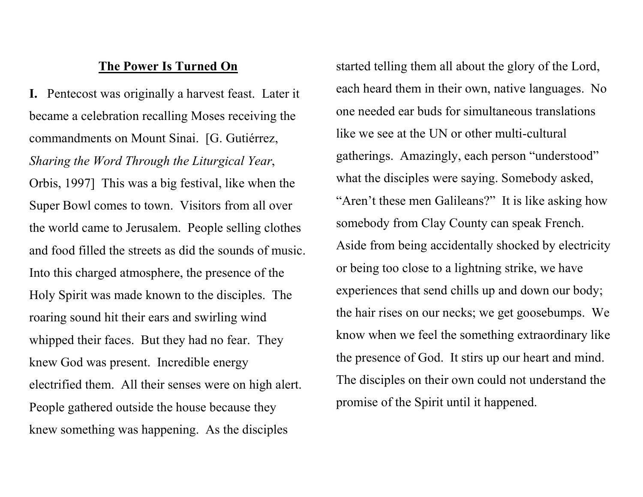## The Power Is Turned On

I. Pentecost was originally a harvest feast. Later it became a celebration recalling Moses receiving the commandments on Mount Sinai. [G. Gutiérrez, Sharing the Word Through the Liturgical Year, Orbis, 1997] This was a big festival, like when the Super Bowl comes to town. Visitors from all over the world came to Jerusalem. People selling clothes and food filled the streets as did the sounds of music. Into this charged atmosphere, the presence of the Holy Spirit was made known to the disciples. The roaring sound hit their ears and swirling wind whipped their faces. But they had no fear. They knew God was present. Incredible energy electrified them. All their senses were on high alert. People gathered outside the house because they knew something was happening. As the disciples

started telling them all about the glory of the Lord, each heard them in their own, native languages. No one needed ear buds for simultaneous translations like we see at the UN or other multi-cultural gatherings. Amazingly, each person "understood" what the disciples were saying. Somebody asked, "Aren't these men Galileans?" It is like asking how somebody from Clay County can speak French. Aside from being accidentally shocked by electricity or being too close to a lightning strike, we have experiences that send chills up and down our body; the hair rises on our necks; we get goosebumps. We know when we feel the something extraordinary like the presence of God. It stirs up our heart and mind. The disciples on their own could not understand the promise of the Spirit until it happened.